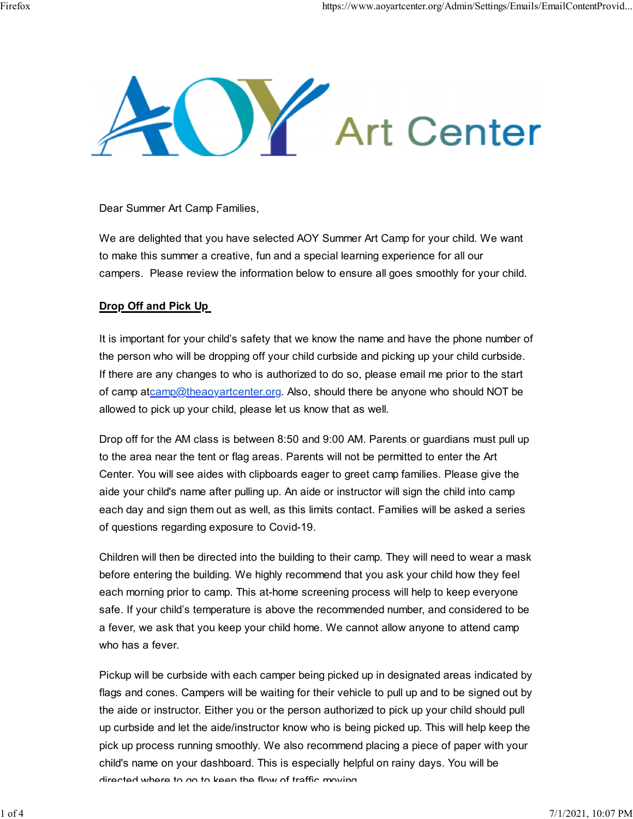

Dear Summer Art Camp Families,

We are delighted that you have selected AOY Summer Art Camp for your child. We want to make this summer a creative, fun and a special learning experience for all our campers. Please review the information below to ensure all goes smoothly for your child.

#### Drop Off and Pick Up

It is important for your child's safety that we know the name and have the phone number of the person who will be dropping off your child curbside and picking up your child curbside. If there are any changes to who is authorized to do so, please email me prior to the start of camp atcamp@theaoyartcenter.org. Also, should there be anyone who should NOT be allowed to pick up your child, please let us know that as well. Dear Summer Art Camp Families,<br>We are delighted that you have selected AOY Summer Art Camp for your child. We want<br>to make this summer a creative, fun and a special learning experience for all our<br>campers. Please review th

to the area near the tent or flag areas. Parents will not be permitted to enter the Art Center. You will see aides with clipboards eager to greet camp families. Please give the aide your child's name after pulling up. An aide or instructor will sign the child into camp each day and sign them out as well, as this limits contact. Families will be asked a series of questions regarding exposure to Covid-19.

Children will then be directed into the building to their camp. They will need to wear a mask before entering the building. We highly recommend that you ask your child how they feel each morning prior to camp. This at-home screening process will help to keep everyone safe. If your child's temperature is above the recommended number, and considered to be a fever, we ask that you keep your child home. We cannot allow anyone to attend camp who has a fever. allowed to pick up your child, please let us know that as well.<br>Drop off for the AM class is between 8:50 and 9:00 AM. Parents or guardians must pull up<br>to the area near the tent or flag areas. Parents will not be permitte

flags and cones. Campers will be waiting for their vehicle to pull up and to be signed out by the aide or instructor. Either you or the person authorized to pick up your child should pull up curbside and let the aide/instructor know who is being picked up. This will help keep the pick up process running smoothly. We also recommend placing a piece of paper with your child's name on your dashboard. This is especially helpful on rainy days. You will be directed where to go to keep the flow of traffic moving.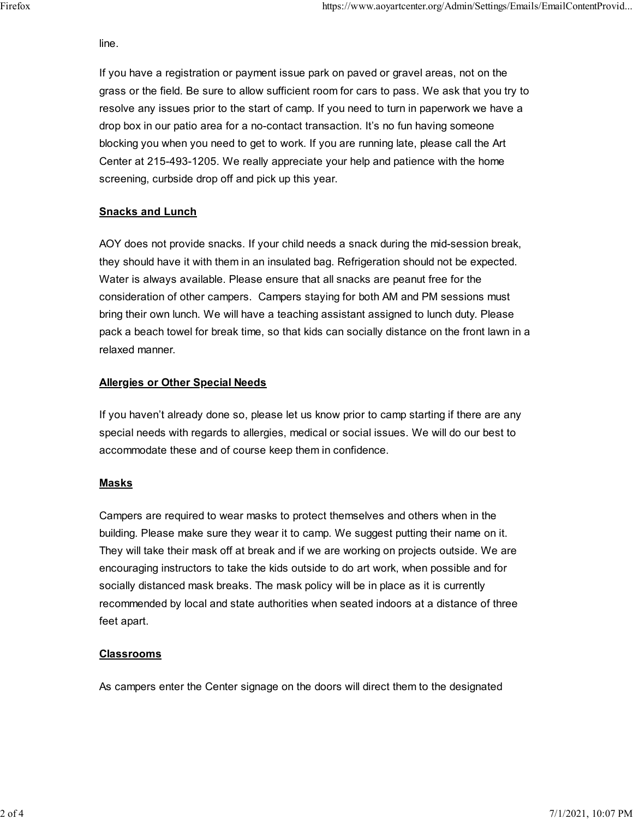#### line.

https://www.aoyartcenter.org/Admin/Settings/Emails/EmailContentProvid...<br>If you have a registration or payment issue park on paved or gravel areas, not on the<br>grass or the field. Be sure to allow sufficient room for cars t grass or the field. Be sure to allow sufficient room for cars to pass. We ask that you try to resolve any issues prior to the start of camp. If you need to turn in paperwork we have a drop box in our patio area for a no-contact transaction. It's no fun having someone blocking you when you need to get to work. If you are running late, please call the Art Center at 215-493-1205. We really appreciate your help and patience with the home screening, curbside drop off and pick up this year. If you have a registration or payment issue park on paved or gravel areas, not on the grass or the field. Be sure to allow sufficient room for cars to pass. We ask that you try to resolve any issues prior to the start of c https://www.aoyartcenter.org/Admin/Settings/Emails/EmailContentProvid...<br>line.<br>If you have a registration or payment issue park on payed or gravel areas, not on the

# **Snacks and Lunch**

AOY does not provide snacks. If your child needs a snack during the mid-session break, they should have it with them in an insulated bag. Refrigeration should not be expected. consideration of other campers. Campers staying for both AM and PM sessions must me.<br>If you have a registration or payment issue park on paved or gravel areas, not on the<br>grass or the field. Be sure to allow sufficient room for cars to pass. We ask that you try to<br>resolve any issues prior to the start If you have a registration or payment issue park on paved or gravel areas, not on the<br>grass or the field. Be sure to allow sufficient room for cars to pass. We ask that you try to<br>resolve any issues prior to the start of c relaxed manner.

## **Allergies or Other Special Needs**

If you haven't already done so, please let us know prior to camp starting if there are any special needs with regards to allergies, medical or social issues. We will do our best to accommodate these and of course keep them in confidence.

## **Masks**

Campers are required to wear masks to protect themselves and others when in the building. Please make sure they wear it to camp. We suggest putting their name on it. They will take their mask off at break and if we are working on projects outside. We are encouraging instructors to take the kids outside to do art work, when possible and for socially distanced mask breaks. The mask policy will be in place as it is currently recommended by local and state authorities when seated indoors at a distance of three feet apart.

## Classrooms

As campers enter the Center signage on the doors will direct them to the designated